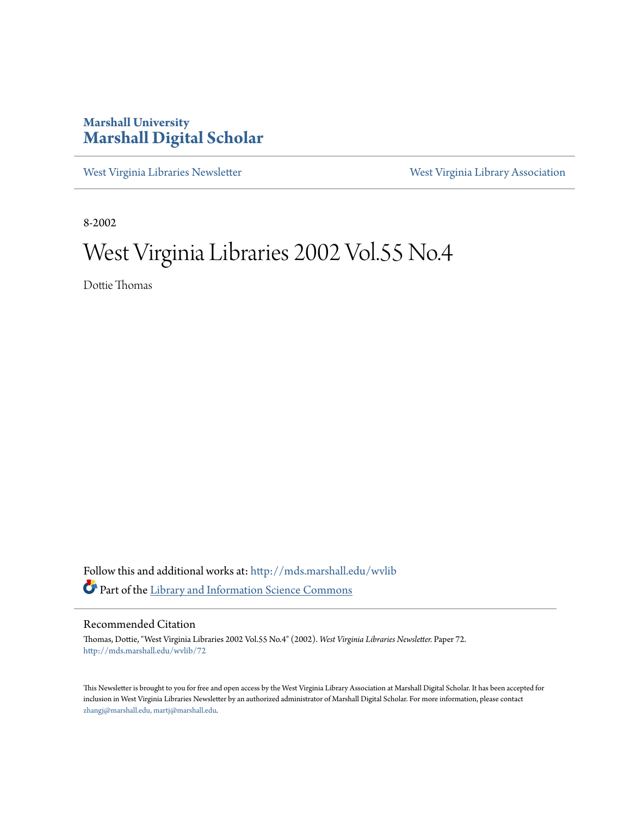## **Marshall University [Marshall Digital Scholar](http://mds.marshall.edu?utm_source=mds.marshall.edu%2Fwvlib%2F72&utm_medium=PDF&utm_campaign=PDFCoverPages)**

[West Virginia Libraries Newsletter](http://mds.marshall.edu/wvlib?utm_source=mds.marshall.edu%2Fwvlib%2F72&utm_medium=PDF&utm_campaign=PDFCoverPages) [West Virginia Library Association](http://mds.marshall.edu/wvla?utm_source=mds.marshall.edu%2Fwvlib%2F72&utm_medium=PDF&utm_campaign=PDFCoverPages)

8-2002

# West Virginia Libraries 2002 Vol.55 No.4

Dottie Thomas

Follow this and additional works at: [http://mds.marshall.edu/wvlib](http://mds.marshall.edu/wvlib?utm_source=mds.marshall.edu%2Fwvlib%2F72&utm_medium=PDF&utm_campaign=PDFCoverPages) Part of the [Library and Information Science Commons](http://network.bepress.com/hgg/discipline/1018?utm_source=mds.marshall.edu%2Fwvlib%2F72&utm_medium=PDF&utm_campaign=PDFCoverPages)

#### Recommended Citation

Thomas, Dottie, "West Virginia Libraries 2002 Vol.55 No.4" (2002). *West Virginia Libraries Newsletter.* Paper 72. [http://mds.marshall.edu/wvlib/72](http://mds.marshall.edu/wvlib/72?utm_source=mds.marshall.edu%2Fwvlib%2F72&utm_medium=PDF&utm_campaign=PDFCoverPages)

This Newsletter is brought to you for free and open access by the West Virginia Library Association at Marshall Digital Scholar. It has been accepted for inclusion in West Virginia Libraries Newsletter by an authorized administrator of Marshall Digital Scholar. For more information, please contact [zhangj@marshall.edu, martj@marshall.edu](mailto:zhangj@marshall.edu,%20martj@marshall.edu).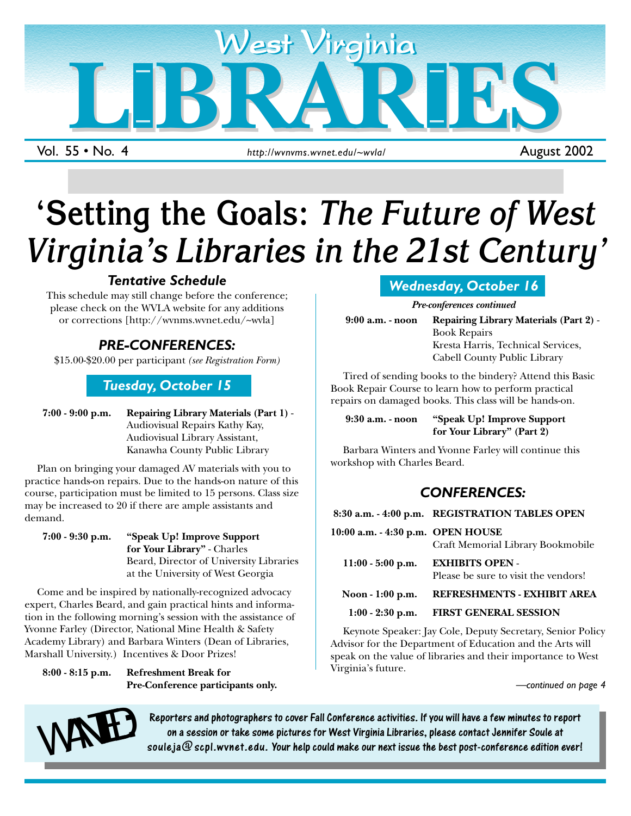

Vol. 55 • No. 4

# **'Setting the Goals:** *The Future of West Virginia's Libraries in the 21st Century'*

## *Tentative Schedule*

This schedule may still change before the conference; please check on the WVLA website for any additions or corrections [http://wvnms.wvnet.edu/~wvla]

# *PRE-CONFERENCES:*

\$15.00-\$20.00 per participant *(see Registration Form)*

### *Tuesday, October 15*

**7:00 - 9:00 p.m. Repairing Library Materials (Part 1)** - Audiovisual Repairs Kathy Kay, Audiovisual Library Assistant, Kanawha County Public Library

Plan on bringing your damaged AV materials with you to practice hands-on repairs. Due to the hands-on nature of this course, participation must be limited to 15 persons. Class size may be increased to 20 if there are ample assistants and demand.

**7:00 - 9:30 p.m. "Speak Up! Improve Support for Your Library"** - Charles Beard, Director of University Libraries at the University of West Georgia

Come and be inspired by nationally-recognized advocacy expert, Charles Beard, and gain practical hints and information in the following morning's session with the assistance of Yvonne Farley (Director, National Mine Health & Safety Academy Library) and Barbara Winters (Dean of Libraries, Marshall University.) Incentives & Door Prizes!

**8:00 - 8:15 p.m. Refreshment Break for Pre-Conference participants only.**

# *Wednesday, October 16*

*Pre-conferences continued*

**9:00 a.m. - noon Repairing Library Materials (Part 2)** - Book Repairs Kresta Harris, Technical Services, Cabell County Public Library

Tired of sending books to the bindery? Attend this Basic Book Repair Course to learn how to perform practical repairs on damaged books. This class will be hands-on.

**9:30 a.m. - noon "Speak Up! Improve Support for Your Library" (Part 2)**

Barbara Winters and Yvonne Farley will continue this workshop with Charles Beard.

# *CONFERENCES:*

|                                   | 8:30 a.m. - 4:00 p.m. REGISTRATION TABLES OPEN                 |
|-----------------------------------|----------------------------------------------------------------|
| 10:00 a.m. - 4:30 p.m. OPEN HOUSE | Craft Memorial Library Bookmobile                              |
| $11:00 - 5:00$ p.m.               | <b>EXHIBITS OPEN -</b><br>Please be sure to visit the vendors! |
| Noon - 1:00 p.m.                  | REFRESHMENTS - EXHIBIT AREA                                    |
| $1:00 - 2:30$ p.m.                | <b>FIRST GENERAL SESSION</b>                                   |

Keynote Speaker: Jay Cole, Deputy Secretary, Senior Policy Advisor for the Department of Education and the Arts will speak on the value of libraries and their importance to West Virginia's future.

1 August 2002

*—continued on page 4*



Reporters and photographers to cover Fall Conference activities. If you will have a few minutes to report Reporters and photographers to cover Fall Conference activities. If you will have a few minutes to report<br>on a session or take some pictures for West Virginia Libraries, please contact Jennifer Soule at<br>soule ja @ scpl.wvn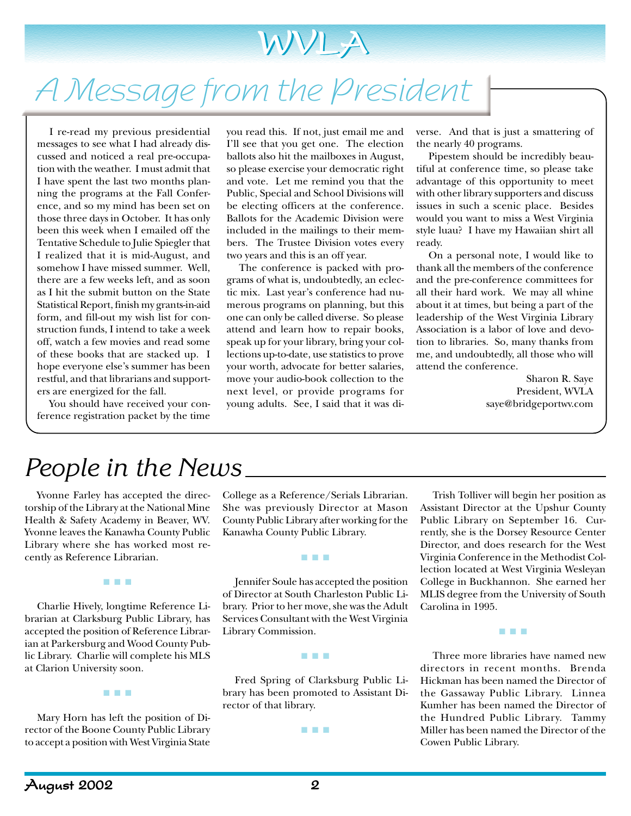

# A Message from the President

I re-read my previous presidential messages to see what I had already discussed and noticed a real pre-occupation with the weather. I must admit that I have spent the last two months planning the programs at the Fall Conference, and so my mind has been set on those three days in October. It has only been this week when I emailed off the Tentative Schedule to Julie Spiegler that I realized that it is mid-August, and somehow I have missed summer. Well, there are a few weeks left, and as soon as I hit the submit button on the State Statistical Report, finish my grants-in-aid form, and fill-out my wish list for construction funds, I intend to take a week off, watch a few movies and read some of these books that are stacked up. I hope everyone else's summer has been restful, and that librarians and supporters are energized for the fall.

You should have received your conference registration packet by the time you read this. If not, just email me and I'll see that you get one. The election ballots also hit the mailboxes in August, so please exercise your democratic right and vote. Let me remind you that the Public, Special and School Divisions will be electing officers at the conference. Ballots for the Academic Division were included in the mailings to their members. The Trustee Division votes every two years and this is an off year.

The conference is packed with programs of what is, undoubtedly, an eclectic mix. Last year's conference had numerous programs on planning, but this one can only be called diverse. So please attend and learn how to repair books, speak up for your library, bring your collections up-to-date, use statistics to prove your worth, advocate for better salaries, move your audio-book collection to the next level, or provide programs for young adults. See, I said that it was diverse. And that is just a smattering of the nearly 40 programs.

Pipestem should be incredibly beautiful at conference time, so please take advantage of this opportunity to meet with other library supporters and discuss issues in such a scenic place. Besides would you want to miss a West Virginia style luau? I have my Hawaiian shirt all ready.

On a personal note, I would like to thank all the members of the conference and the pre-conference committees for all their hard work. We may all whine about it at times, but being a part of the leadership of the West Virginia Library Association is a labor of love and devotion to libraries. So, many thanks from me, and undoubtedly, all those who will attend the conference.

> Sharon R. Saye President, WVLA saye@bridgeportwv.com

# *People in the News*

Yvonne Farley has accepted the directorship of the Library at the National Mine Health & Safety Academy in Beaver, WV. Yvonne leaves the Kanawha County Public Library where she has worked most recently as Reference Librarian.

■ ■ ■

Charlie Hively, longtime Reference Librarian at Clarksburg Public Library, has accepted the position of Reference Librarian at Parkersburg and Wood County Public Library. Charlie will complete his MLS at Clarion University soon.

Mary Horn has left the position of Director of the Boone County Public Library to accept a position with West Virginia State

■ ■ ■

College as a Reference/Serials Librarian. She was previously Director at Mason County Public Library after working for the Kanawha County Public Library.

■ ■ ■

Jennifer Soule has accepted the position of Director at South Charleston Public Library. Prior to her move, she was the Adult Services Consultant with the West Virginia Library Commission.

Fred Spring of Clarksburg Public Library has been promoted to Assistant Director of that library.

■ ■ ■

■ ■ ■

Trish Tolliver will begin her position as Assistant Director at the Upshur County Public Library on September 16. Currently, she is the Dorsey Resource Center Director, and does research for the West Virginia Conference in the Methodist Collection located at West Virginia Wesleyan College in Buckhannon. She earned her MLIS degree from the University of South Carolina in 1995.

Three more libraries have named new directors in recent months. Brenda Hickman has been named the Director of the Gassaway Public Library. Linnea Kumher has been named the Director of the Hundred Public Library. Tammy Miller has been named the Director of the Cowen Public Library.

■ ■ ■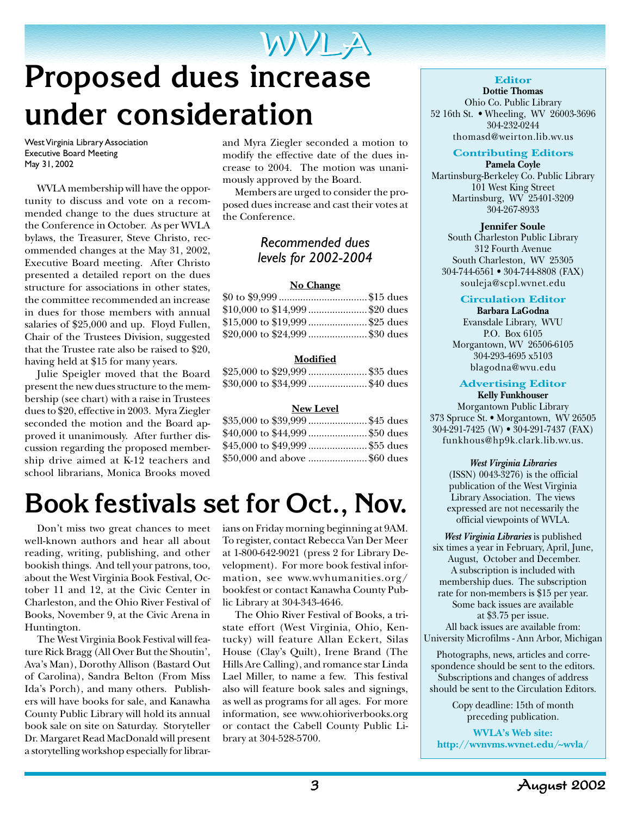# WVLA WVLA **Proposed dues increase under consideration**

West Virginia Library Association Executive Board Meeting May 31, 2002

WVLA membership will have the opportunity to discuss and vote on a recommended change to the dues structure at the Conference in October. As per WVLA bylaws, the Treasurer, Steve Christo, recommended changes at the May 31, 2002, Executive Board meeting. After Christo presented a detailed report on the dues structure for associations in other states, the committee recommended an increase in dues for those members with annual salaries of \$25,000 and up. Floyd Fullen, Chair of the Trustees Division, suggested that the Trustee rate also be raised to \$20, having held at \$15 for many years.

Julie Speigler moved that the Board present the new dues structure to the membership (see chart) with a raise in Trustees dues to \$20, effective in 2003. Myra Ziegler seconded the motion and the Board approved it unanimously. After further discussion regarding the proposed membership drive aimed at K-12 teachers and school librarians, Monica Brooks moved

and Myra Ziegler seconded a motion to modify the effective date of the dues increase to 2004. The motion was unanimously approved by the Board.

Members are urged to consider the proposed dues increase and cast their votes at the Conference.

### *Recommended dues levels for 2002-2004*

#### **No Change**

| $$0 to $9,999$ \$15 dues         |  |
|----------------------------------|--|
| $$10,000$ to $$14,999$ \$20 dues |  |
| \$15,000 to \$19,999 \$25 dues   |  |
| \$20,000 to \$24,999 \$30 dues   |  |

#### **Modified**

|  | \$25,000 to \$29,999 \$35 dues |  |
|--|--------------------------------|--|
|  | \$30,000 to \$34,999 \$40 dues |  |

#### **New Level**

| \$35,000 to \$39,999 \$45 dues |  |
|--------------------------------|--|
| \$40,000 to \$44,999 \$50 dues |  |
| \$45,000 to \$49,999 \$55 dues |  |
| \$50,000 and above \$60 dues   |  |

# **Book festivals set for Oct., Nov.**

Don't miss two great chances to meet well-known authors and hear all about reading, writing, publishing, and other bookish things. And tell your patrons, too, about the West Virginia Book Festival, October 11 and 12, at the Civic Center in Charleston, and the Ohio River Festival of Books, November 9, at the Civic Arena in Huntington.

The West Virginia Book Festival will feature Rick Bragg (All Over But the Shoutin', Ava's Man), Dorothy Allison (Bastard Out of Carolina), Sandra Belton (From Miss Ida's Porch), and many others. Publishers will have books for sale, and Kanawha County Public Library will hold its annual book sale on site on Saturday. Storyteller Dr. Margaret Read MacDonald will present a storytelling workshop especially for librarians on Friday morning beginning at 9AM. To register, contact Rebecca Van Der Meer at 1-800-642-9021 (press 2 for Library Development). For more book festival information, see www.wvhumanities.org/ bookfest or contact Kanawha County Public Library at 304-343-4646.

The Ohio River Festival of Books, a tristate effort (West Virginia, Ohio, Kentucky) will feature Allan Eckert, Silas House (Clay's Quilt), Irene Brand (The Hills Are Calling), and romance star Linda Lael Miller, to name a few. This festival also will feature book sales and signings, as well as programs for all ages. For more information, see www.ohioriverbooks.org or contact the Cabell County Public Library at 304-528-5700.

#### **Editor**

**Dottie Thomas** Ohio Co. Public Library 52 16th St. • Wheeling, WV 26003-3696 304-232-0244 thomasd@weirton.lib.wv.us

## **Contributing Editors**

**Pamela Coyle** Martinsburg-Berkeley Co. Public Library 101 West King Street Martinsburg, WV 25401-3209 304-267-8933

#### **Jennifer Soule**

South Charleston Public Library 312 Fourth Avenue South Charleston, WV 25305 304-744-6561 • 304-744-8808 (FAX) souleja@scpl.wvnet.edu

#### **Circulation Editor**

**Barbara LaGodna** Evansdale Library, WVU P.O. Box 6105 Morgantown, WV 26506-6105 304-293-4695 x5103 blagodna@wvu.edu

#### **Advertising Editor**

**Kelly Funkhouser** Morgantown Public Library 373 Spruce St. • Morgantown, WV 26505 304-291-7425 (W) • 304-291-7437 (FAX) funkhous@hp9k.clark.lib.wv.us.

#### *West Virginia Libraries*

 $(ISSN)$  0043- $\overline{3}276$ ) is the official publication of the West Virginia Library Association. The views expressed are not necessarily the official viewpoints of WVLA.

*West Virginia Libraries* is published six times a year in February, April, June, August, October and December. A subscription is included with membership dues. The subscription rate for non-members is \$15 per year. Some back issues are available at \$3.75 per issue. All back issues are available from: University Microfilms - Ann Arbor, Michigan

Photographs, news, articles and correspondence should be sent to the editors. Subscriptions and changes of address should be sent to the Circulation Editors.

> Copy deadline: 15th of month preceding publication.

**WVLA's Web site: http://wvnvms.wvnet.edu/~wvla/**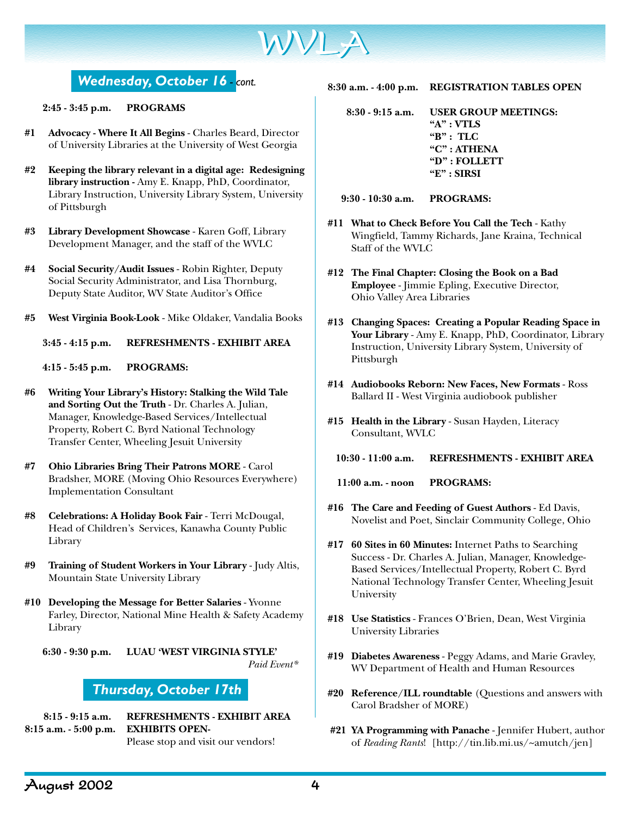

# *Wednesday, October 16 - cont.*

**2:45 - 3:45 p.m. PROGRAMS**

- **#1 Advocacy Where It All Begins** Charles Beard, Director of University Libraries at the University of West Georgia
- **#2 Keeping the library relevant in a digital age: Redesigning library instruction -** Amy E. Knapp, PhD, Coordinator, Library Instruction, University Library System, University of Pittsburgh
- **#3 Library Development Showcase** Karen Goff, Library Development Manager, and the staff of the WVLC
- **#4 Social Security/Audit Issues** Robin Righter, Deputy Social Security Administrator, and Lisa Thornburg, Deputy State Auditor, WV State Auditor's Office
- **#5 West Virginia Book-Look** Mike Oldaker, Vandalia Books

**3:45 - 4:15 p.m. REFRESHMENTS - EXHIBIT AREA**

**4:15 - 5:45 p.m. PROGRAMS:**

- **#6 Writing Your Library's History: Stalking the Wild Tale and Sorting Out the Truth** - Dr. Charles A. Julian, Manager, Knowledge-Based Services/Intellectual Property, Robert C. Byrd National Technology Transfer Center, Wheeling Jesuit University
- **#7 Ohio Libraries Bring Their Patrons MORE**  Carol Bradsher, MORE (Moving Ohio Resources Everywhere) Implementation Consultant
- **#8 Celebrations: A Holiday Book Fair** Terri McDougal, Head of Children's Services, Kanawha County Public Library
- **#9 Training of Student Workers in Your Library** Judy Altis, Mountain State University Library
- **#10 Developing the Message for Better Salaries** Yvonne Farley, Director, National Mine Health & Safety Academy Library

**6:30 - 9:30 p.m. LUAU 'WEST VIRGINIA STYLE'**  *Paid Event\**

### *Thursday, October 17th*

**8:15 - 9:15 a.m. REFRESHMENTS - EXHIBIT AREA 8:15 a.m. - 5:00 p.m. EXHIBITS OPEN-**Please stop and visit our vendors!

- **8:30 a.m. 4:00 p.m. REGISTRATION TABLES OPEN**
	- **8:30 9:15 a.m. USER GROUP MEETINGS: "A" : VTLS "B" : TLC "C" : ATHENA "D" : FOLLETT "E" : SIRSI**

**9:30 - 10:30 a.m. PROGRAMS:**

- **#11 What to Check Before You Call the Tech** Kathy Wingfield, Tammy Richards, Jane Kraina, Technical Staff of the WVLC
- **#12 The Final Chapter: Closing the Book on a Bad Employee** - Jimmie Epling, Executive Director, Ohio Valley Area Libraries
- **#13 Changing Spaces: Creating a Popular Reading Space in Your Library** - Amy E. Knapp, PhD, Coordinator, Library Instruction, University Library System, University of Pittsburgh
- **#14 Audiobooks Reborn: New Faces, New Formats** Ross Ballard II - West Virginia audiobook publisher
- **#15 Health in the Library** Susan Hayden, Literacy Consultant, WVLC

**10:30 - 11:00 a.m. REFRESHMENTS - EXHIBIT AREA**

**11:00 a.m. - noon PROGRAMS:**

- **#16 The Care and Feeding of Guest Authors** Ed Davis, Novelist and Poet, Sinclair Community College, Ohio
- **#17 60 Sites in 60 Minutes:** Internet Paths to Searching Success - Dr. Charles A. Julian, Manager, Knowledge-Based Services/Intellectual Property, Robert C. Byrd National Technology Transfer Center, Wheeling Jesuit University
- **#18 Use Statistics** Frances O'Brien, Dean, West Virginia University Libraries
- **#19 Diabetes Awareness** Peggy Adams, and Marie Gravley, WV Department of Health and Human Resources
- **#20 Reference/ILL roundtable** (Questions and answers with Carol Bradsher of MORE)
- **#21 YA Programming with Panache** Jennifer Hubert, author of *Reading Rants*! [http://tin.lib.mi.us/~amutch/jen]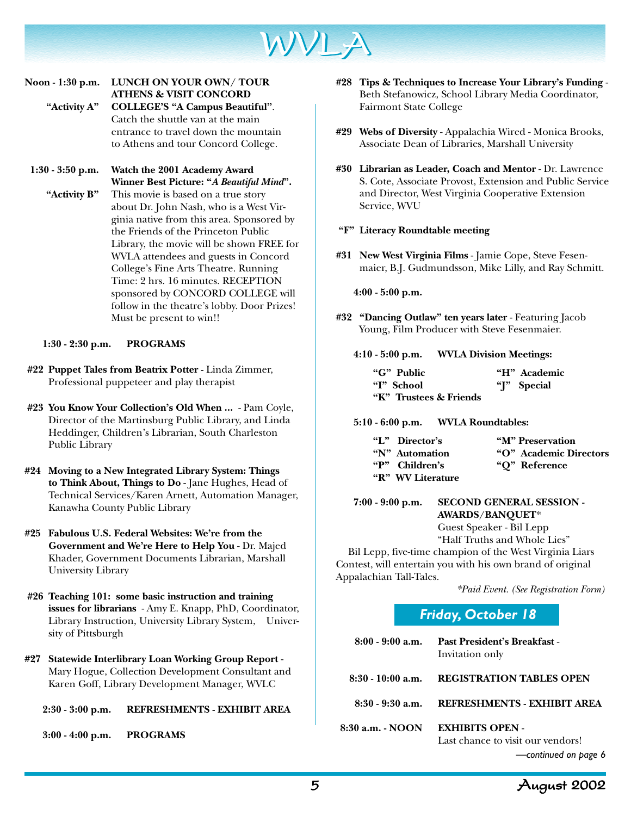

### **Noon - 1:30 p.m. LUNCH ON YOUR OWN/ TOUR ATHENS & VISIT CONCORD "Activity A" COLLEGE'S "A Campus Beautiful"**. Catch the shuttle van at the main

entrance to travel down the mountain to Athens and tour Concord College.

**1:30 - 3:50 p.m. Watch the 2001 Academy Award Winner Best Picture: "***A Beautiful Mind***". "Activity B"** This movie is based on a true story about Dr. John Nash, who is a West Virginia native from this area. Sponsored by the Friends of the Princeton Public Library, the movie will be shown FREE for WVLA attendees and guests in Concord College's Fine Arts Theatre. Running Time: 2 hrs. 16 minutes. RECEPTION sponsored by CONCORD COLLEGE will follow in the theatre's lobby. Door Prizes! Must be present to win!!

**1:30 - 2:30 p.m. PROGRAMS**

- **#22 Puppet Tales from Beatrix Potter -** Linda Zimmer, Professional puppeteer and play therapist
- **#23 You Know Your Collection's Old When ...** Pam Coyle, Director of the Martinsburg Public Library, and Linda Heddinger, Children's Librarian, South Charleston Public Library
- **#24 Moving to a New Integrated Library System: Things to Think About, Things to Do** - Jane Hughes, Head of Technical Services/Karen Arnett, Automation Manager, Kanawha County Public Library
- **#25 Fabulous U.S. Federal Websites: We're from the Government and We're Here to Help You** - Dr. Majed Khader, Government Documents Librarian, Marshall University Library
- **#26 Teaching 101: some basic instruction and training issues for librarians** - Amy E. Knapp, PhD, Coordinator, Library Instruction, University Library System, University of Pittsburgh
- **#27 Statewide Interlibrary Loan Working Group Report** Mary Hogue, Collection Development Consultant and Karen Goff, Library Development Manager, WVLC

**2:30 - 3:00 p.m. REFRESHMENTS - EXHIBIT AREA**

**3:00 - 4:00 p.m. PROGRAMS**

- **#28 Tips & Techniques to Increase Your Library's Funding** Beth Stefanowicz, School Library Media Coordinator, Fairmont State College
- **#29 Webs of Diversity** Appalachia Wired Monica Brooks, Associate Dean of Libraries, Marshall University
- **#30 Librarian as Leader, Coach and Mentor** Dr. Lawrence S. Cote, Associate Provost, Extension and Public Service and Director, West Virginia Cooperative Extension Service, WVU

#### **"F" Literacy Roundtable meeting**

**#31 New West Virginia Films** - Jamie Cope, Steve Fesenmaier, B.J. Gudmundsson, Mike Lilly, and Ray Schmitt.

**4:00 - 5:00 p.m.**

**#32 "Dancing Outlaw" ten years later** - Featuring Jacob Young, Film Producer with Steve Fesenmaier.

**4:10 - 5:00 p.m. WVLA Division Meetings:**

| "G" Public             | "H" Academic |
|------------------------|--------------|
| "I" School             | "I" Special  |
| "K" Trustees & Friends |              |

**5:10 - 6:00 p.m. WVLA Roundtables:**

| "L" Director's    | "M" Preservation        |
|-------------------|-------------------------|
| "N" Automation    | "O" Academic Directors" |
| "P" Children's    | "O" Reference           |
| "R" WV Literature |                         |

#### **7:00 - 9:00 p.m. SECOND GENERAL SESSION - AWARDS/BANQUET**\*

Guest Speaker - Bil Lepp "Half Truths and Whole Lies"

Bil Lepp, five-time champion of the West Virginia Liars Contest, will entertain you with his own brand of original Appalachian Tall-Tales.

 *\*Paid Event. (See Registration Form)*

| Friday, October 18 |  |
|--------------------|--|
|                    |  |

|                  | 8:00 - 9:00 a.m. Past President's Breakfast -<br>Invitation only |
|------------------|------------------------------------------------------------------|
|                  | 8:30 - 10:00 a.m. REGISTRATION TABLES OPEN                       |
|                  | 8:30 - 9:30 a.m. REFRESHMENTS - EXHIBIT AREA                     |
| 8:30 a.m. - NOON | <b>EXHIBITS OPEN -</b><br>Last chance to visit our vendors!      |

*—continued on page 6*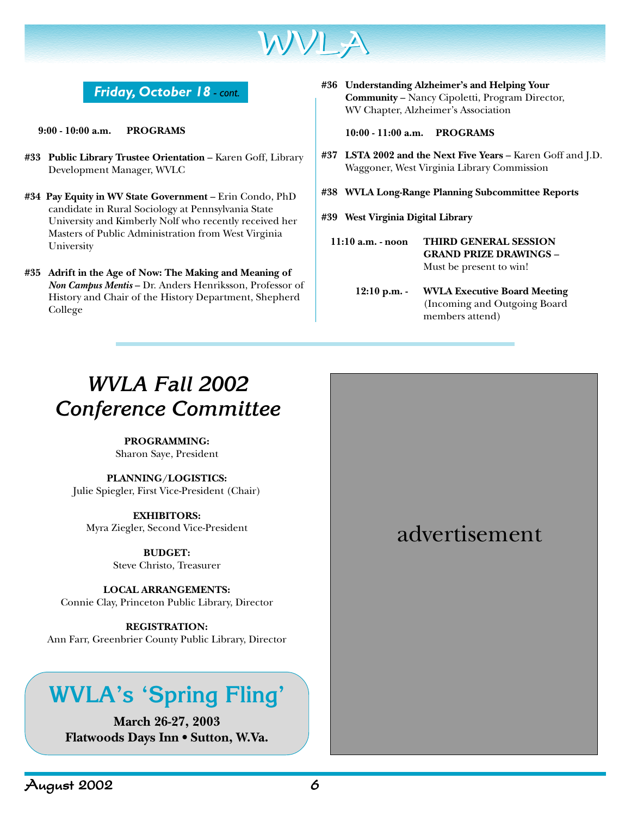

### *Friday, October 18 - cont.*

**9:00 - 10:00 a.m. PROGRAMS**

- #33 Public Library Trustee Orientation Karen Goff, Library Development Manager, WVLC
- **#34 Pay Equity in WV State Government**  Erin Condo, PhD candidate in Rural Sociology at Pennsylvania State University and Kimberly Nolf who recently received her Masters of Public Administration from West Virginia University
- **#35 Adrift in the Age of Now: The Making and Meaning of** *Non Campus Mentis* – Dr. Anders Henriksson, Professor of History and Chair of the History Department, Shepherd College

**#36 Understanding Alzheimer's and Helping Your Community** – Nancy Cipoletti, Program Director, WV Chapter, Alzheimer's Association

**10:00 - 11:00 a.m. PROGRAMS**

- **#37 LSTA 2002 and the Next Five Years** Karen Goff and J.D. Waggoner, West Virginia Library Commission
- **#38 WVLA Long-Range Planning Subcommittee Reports**
- **#39 West Virginia Digital Library**
	- **11:10 a.m. noon THIRD GENERAL SESSION GRAND PRIZE DRAWINGS** – Must be present to win!
		- **12:10 p.m. WVLA Executive Board Meeting** (Incoming and Outgoing Board members attend)

# *WVLA Fall 2002 Conference Committee*

**PROGRAMMING:**

Sharon Saye, President

**PLANNING/LOGISTICS:** Julie Spiegler, First Vice-President (Chair)

**EXHIBITORS:** Myra Ziegler, Second Vice-President

> **BUDGET:** Steve Christo, Treasurer

**LOCAL ARRANGEMENTS:** Connie Clay, Princeton Public Library, Director

**REGISTRATION:** Ann Farr, Greenbrier County Public Library, Director

# **WVLA's 'Spring Fling'**

**March 26-27, 2003 Flatwoods Days Inn • Sutton, W.Va.**

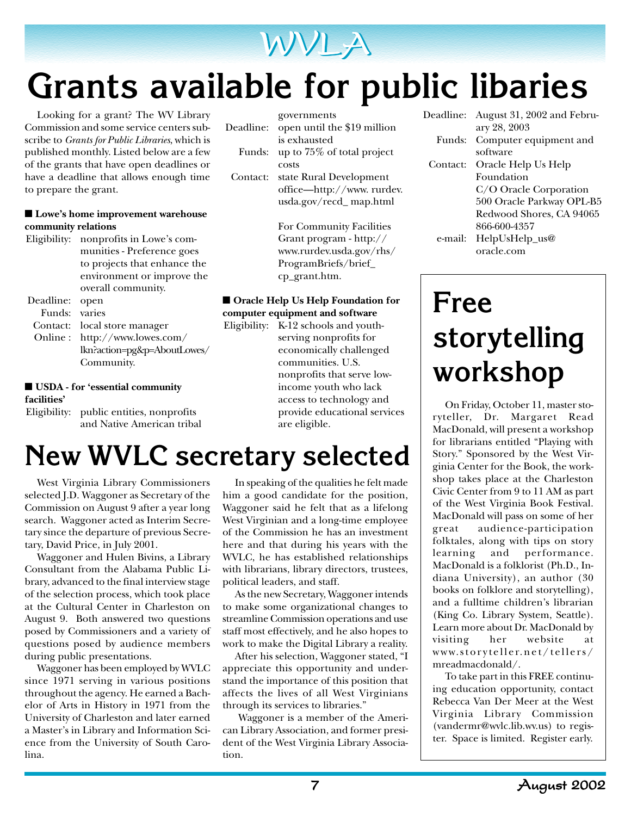

# **Grants available for public libaries**

Looking for a grant? The WV Library Commission and some service centers subscribe to *Grants for Public Libraries*, which is published monthly. Listed below are a few of the grants that have open deadlines or have a deadline that allows enough time to prepare the grant.

#### ■ **Lowe's home improvement warehouse community relations**

| Eligibility: | nonprofits in Lowe's com-    |
|--------------|------------------------------|
|              | munities - Preference goes   |
|              | to projects that enhance the |
|              | environment or improve the   |
|              | overall community.           |
| Deadline:    | open                         |
| Funds:       | varies                       |
| Contact:     | local store manager          |
| Online :     | http://www.lowes.com/        |
|              |                              |

lkn?action=pg&p=AboutLowes/ Community.

#### ■ **USDA** - for 'essential community **facilities'**

Eligibility: public entities, nonprofits and Native American tribal

| Deadline: | governments<br>open until the \$19 million<br>is exhausted |
|-----------|------------------------------------------------------------|
| Funds:    | up to 75% of total project                                 |
|           | costs                                                      |
| Contact:  | state Rural Development                                    |
|           | office—http://www.rurdev.                                  |
|           | usda.gov/recd_map.html                                     |

For Community Facilities Grant program - http:// www.rurdev.usda.gov/rhs/ ProgramBriefs/brief\_ cp\_grant.htm.

#### ■ **Oracle Help Us Help Foundation for computer equipment and software**

Eligibility: K-12 schools and youthserving nonprofits for economically challenged communities. U.S. nonprofits that serve lowincome youth who lack access to technology and provide educational services are eligible.

| Deadline: | August 31, 2002 and Febru- |
|-----------|----------------------------|
|           | ary 28, 2003               |
| Funds:    | Computer equipment and     |
|           | software                   |
| Contact:  | Oracle Help Us Help        |
|           | Foundation                 |
|           | C/O Oracle Corporation     |
|           | 500 Oracle Parkway OPL-B5  |
|           | Redwood Shores, CA 94065   |
|           | 866-600-4357               |
| e-mail:   | HelpUsHelp_us@             |
|           | oracle.com                 |

# **Free storytelling workshop**

On Friday, October 11, master storyteller, Dr. Margaret Read MacDonald, will present a workshop for librarians entitled "Playing with Story." Sponsored by the West Virginia Center for the Book, the workshop takes place at the Charleston Civic Center from 9 to 11 AM as part of the West Virginia Book Festival. MacDonald will pass on some of her great audience-participation folktales, along with tips on story learning and performance. MacDonald is a folklorist (Ph.D., Indiana University), an author (30 books on folklore and storytelling), and a fulltime children's librarian (King Co. Library System, Seattle). Learn more about Dr. MacDonald by visiting her website at www.storyteller.net/tellers/ mreadmacdonald/.

To take part in this FREE continuing education opportunity, contact Rebecca Van Der Meer at the West Virginia Library Commission (vandermr@wvlc.lib.wv.us) to register. Space is limited. Register early.

# **New WVLC secretary selected**

West Virginia Library Commissioners selected J.D. Waggoner as Secretary of the Commission on August 9 after a year long search. Waggoner acted as Interim Secretary since the departure of previous Secretary, David Price, in July 2001.

Waggoner and Hulen Bivins, a Library Consultant from the Alabama Public Library, advanced to the final interview stage of the selection process, which took place at the Cultural Center in Charleston on August 9. Both answered two questions posed by Commissioners and a variety of questions posed by audience members during public presentations.

Waggoner has been employed by WVLC since 1971 serving in various positions throughout the agency. He earned a Bachelor of Arts in History in 1971 from the University of Charleston and later earned a Master's in Library and Information Science from the University of South Carolina.

In speaking of the qualities he felt made him a good candidate for the position, Waggoner said he felt that as a lifelong West Virginian and a long-time employee of the Commission he has an investment here and that during his years with the WVLC, he has established relationships with librarians, library directors, trustees, political leaders, and staff.

As the new Secretary, Waggoner intends to make some organizational changes to streamline Commission operations and use staff most effectively, and he also hopes to work to make the Digital Library a reality.

After his selection, Waggoner stated, "I appreciate this opportunity and understand the importance of this position that affects the lives of all West Virginians through its services to libraries."

 Waggoner is a member of the American Library Association, and former president of the West Virginia Library Association.